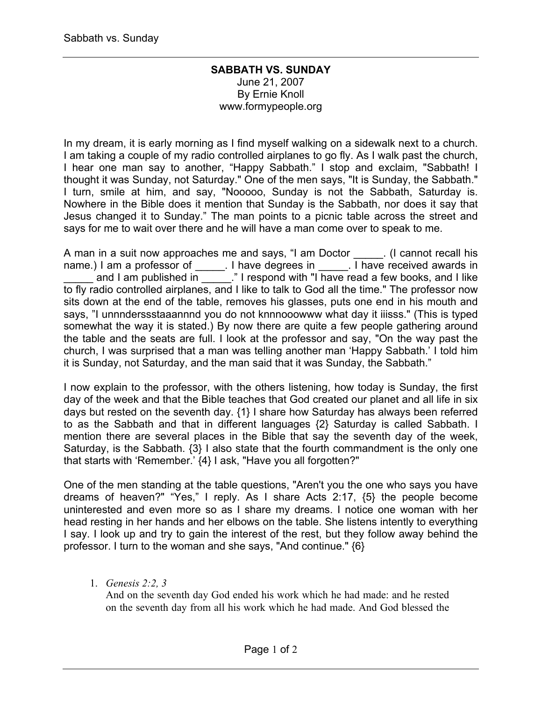## **SABBATH VS. SUNDAY** June 21, 2007 By Ernie Knoll www.formypeople.org

In my dream, it is early morning as I find myself walking on a sidewalk next to a church. I am taking a couple of my radio controlled airplanes to go fly. As I walk past the church, I hear one man say to another, "Happy Sabbath." I stop and exclaim, "Sabbath! I thought it was Sunday, not Saturday." One of the men says, "It is Sunday, the Sabbath." I turn, smile at him, and say, "Nooooo, Sunday is not the Sabbath, Saturday is. Nowhere in the Bible does it mention that Sunday is the Sabbath, nor does it say that Jesus changed it to Sunday." The man points to a picnic table across the street and says for me to wait over there and he will have a man come over to speak to me.

A man in a suit now approaches me and says, "I am Doctor [1] (I cannot recall his name.) I am a professor of **constant in the latter end in** thave received awards in and I am published in  $\overline{\hspace{2cm}}$  " I respond with "I have read a few books, and I like to fly radio controlled airplanes, and I like to talk to God all the time." The professor now sits down at the end of the table, removes his glasses, puts one end in his mouth and says, "I unnnderssstaaannnd you do not knnnooowww what day it iiisss." (This is typed somewhat the way it is stated.) By now there are quite a few people gathering around the table and the seats are full. I look at the professor and say, "On the way past the church, I was surprised that a man was telling another man 'Happy Sabbath.' I told him it is Sunday, not Saturday, and the man said that it was Sunday, the Sabbath."

I now explain to the professor, with the others listening, how today is Sunday, the first day of the week and that the Bible teaches that God created our planet and all life in six days but rested on the seventh day. {1} I share how Saturday has always been referred to as the Sabbath and that in different languages {2} Saturday is called Sabbath. I mention there are several places in the Bible that say the seventh day of the week, Saturday, is the Sabbath. {3} I also state that the fourth commandment is the only one that starts with 'Remember.' {4} I ask, "Have you all forgotten?"

One of the men standing at the table questions, "Aren't you the one who says you have dreams of heaven?" "Yes," I reply. As I share Acts 2:17, {5} the people become uninterested and even more so as I share my dreams. I notice one woman with her head resting in her hands and her elbows on the table. She listens intently to everything I say. I look up and try to gain the interest of the rest, but they follow away behind the professor. I turn to the woman and she says, "And continue." {6}

1. *Genesis 2:2, 3*

And on the seventh day God ended his work which he had made: and he rested on the seventh day from all his work which he had made. And God blessed the